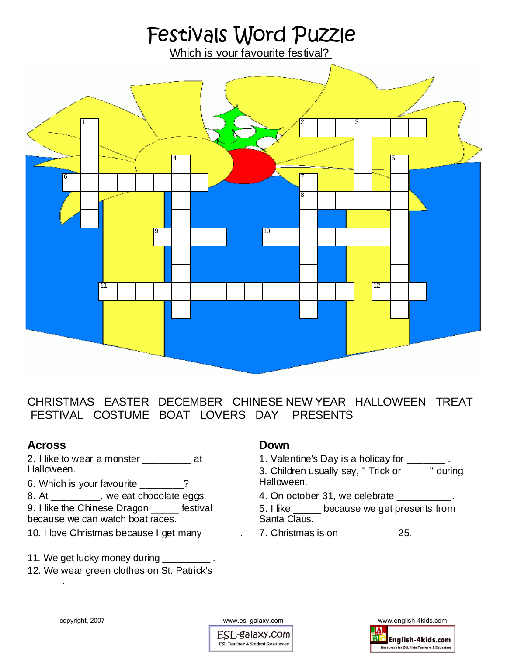# Festivals Word Puzzle

Which is your favourite festival?



CHRISTMAS EASTER DECEMBER CHINESE NEW YEAR HALLOWEEN TREAT FESTIVAL COSTUME BOAT LOVERS DAY PRESENTS

### **Across**

2. I like to wear a monster \_\_\_\_\_\_\_\_\_\_ at Halloween.

6. Which is your favourite 2

8. At \_\_\_\_\_\_\_\_\_, we eat chocolate eggs.

9. I like the Chinese Dragon \_\_\_\_\_ festival because we can watch boat races.

10. I love Christmas because I get many \_\_\_\_\_\_ .

11. We get lucky money during \_\_\_\_\_\_\_\_\_.

12. We wear green clothes on St. Patrick's  $\overline{\phantom{a}}$  .

#### **Down**

1. Valentine's Day is a holiday for \_\_\_\_\_\_\_ .

3. Children usually say, " Trick or \_\_\_\_\_" during Halloween.

4. On october 31, we celebrate \_\_\_\_\_\_\_\_\_\_.

5. I like \_\_\_\_\_ because we get presents from Santa Claus.

7. Christmas is on \_\_\_\_\_\_\_\_\_\_ 25.